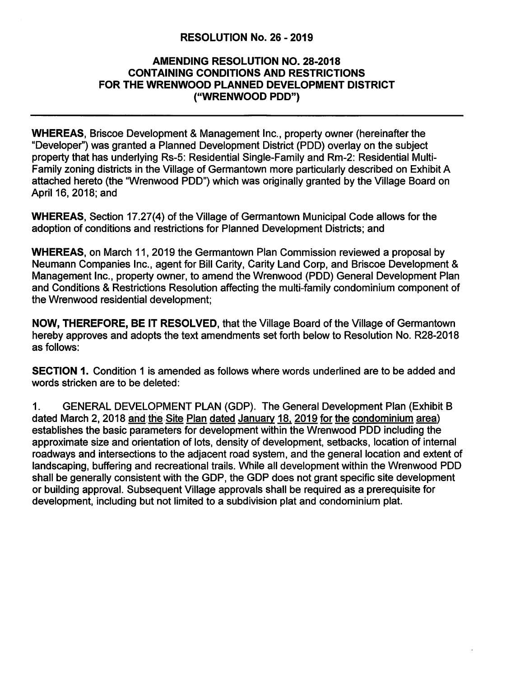## **RESOLUTION No. 26** - **2019**

## **AMENDING RESOLUTION NO. 28-2018 CONTAINING CONDITIONS AND RESTRICTIONS FOR THE WRENWOOD PLANNED DEVELOPMENT DISTRICT ("WRENWOOD PDD")**

**WHEREAS,** Briscoe Development & Management Inc., property owner (hereinafter the "Developer") was granted a Planned Development District (POD) overlay on the subject property that has underlying Rs-5: Residential Single-Family and Rm-2: Residential Multi-Family zoning districts in the Village of Germantown more particularly described on Exhibit A attached hereto (the "Wrenwood POD") which was originally granted by the Village Board on April 16, 2018; and

**WHEREAS,** Section 17.27(4) of the Village of Germantown Municipal Code allows for the adoption of conditions and restrictions for Planned Development Districts; and

**WHEREAS,** on March 11, 2019 the Germantown Plan Commission reviewed a proposal by Neumann Companies Inc., agent for Bill Garity, Garity Land Corp, and Briscoe Development & Management Inc., property owner, to amend the Wrenwood (POD) General Development Plan and Conditions & Restrictions Resolution affecting the multi-family condominium component of the Wrenwood residential development;

**NOW, THEREFORE, BE** IT **RESOLVED,** that the Village Board of the Village of Germantown hereby approves and adopts the text amendments set forth below to Resolution No. R28-2018 as follows:

**SECTION 1.** Condition 1 is amended as follows where words underlined are to be added and words stricken are to be deleted:

1. GENERAL DEVELOPMENT PLAN (GDP). The General Development Plan (Exhibit B dated March 2, 2018 and the Site Plan dated January 18, 2019 for the condominium area) establishes the basic parameters for development within the Wrenwood POD including the approximate size and orientation of lots, density of development, setbacks, location of internal roadways and intersections to the adjacent road system, and the general location and extent of landscaping, buffering and recreational trails. While all development within the Wrenwood POD shall be generally consistent with the GDP, the GDP does not grant specific site development or building approval. Subsequent Village approvals shall be required as a prerequisite for development, including but not limited to a subdivision plat and condominium plat.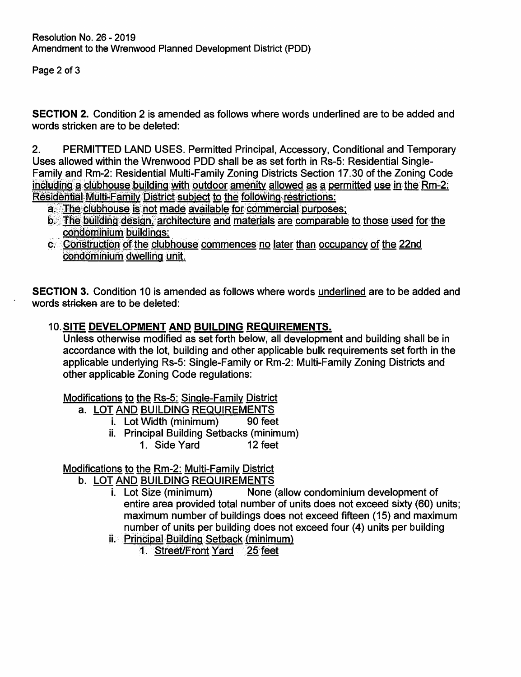Page 2 of 3

**SECTION 2.** Condition 2 is amended as follows where words underlined are to be added and words stricken are to be deleted:

2. PERMITTED LAND USES. Permitted Principal, Accessory, Conditional and Temporary Uses allowed within the Wrenwood POD shall be as set forth in Rs-5: Residential Single-Family and Rm-2: Residential Multi-Family Zoning Districts Section 17.30 of the Zoning Code including a clubhouse building with outdoor amenity allowed as a permitted use in the Rm-2: Residential Multi-Family District subject to the following restrictions:

- a. The clubhouse is not made available for commercial purposes;
- b. The building design, architecture and materials are comparable to those used for the condominium buildings:
- c. Construction of the clubhouse commences no later than occupancy of the 22nd condominium dwelling unit.

**SECTION 3.** Condition 10 is amended as follows where words underlined are to be added and words stricken are to be deleted:

## **10.SITE DEVELOPMENT AND BUILDING REQUIREMENTS.**

Unless otherwise modified as set forth below, all development and building shall be in accordance with the lot, building and other applicable bulk requirements set forth in the applicable underlying Rs-5: Single-Family or Rm-2: Multi-Family Zoning Districts and other applicable Zoning Code regulations:

Modifications to the Rs-5: Single-Family District

- a. LOT AND BUILDING REQUIREMENTS
	- i. Lot Width (minimum) 90 feet
	- ii. Principal Building Setbacks (minimum)
		- 1. Side Yard 12 feet

## Modifications to the Rm-2: Multi-Family District

- b. LOT AND BUILDING REQUIREMENTS
	- i. Lot Size (minimum) None (allow condominium development of entire area provided total number of units does not exceed sixty (60) units; maximum number of buildings does not exceed fifteen (15) and maximum number of units per building does not exceed four (4) units per building
	- ii. Principal Building Setback (minimum)
		- 1. Street/Front Yard. 25 feet